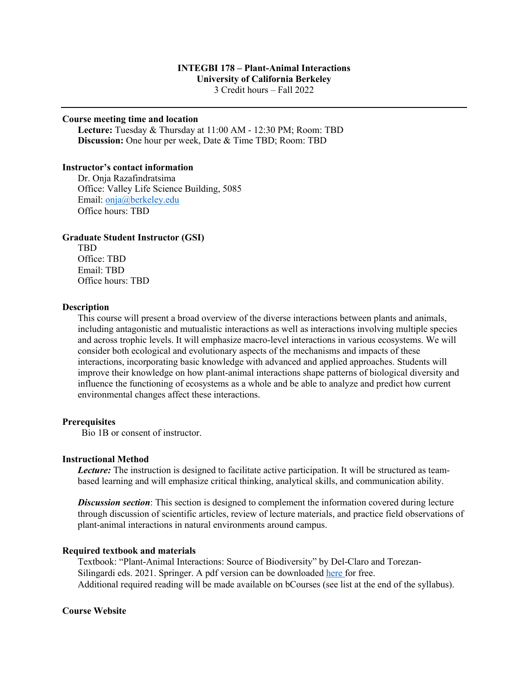### **INTEGBI 178 – Plant-Animal Interactions University of California Berkeley**  3 Credit hours – Fall 2022

### **Course meeting time and location**

**Lecture:** Tuesday & Thursday at 11:00 AM - 12:30 PM; Room: TBD **Discussion:** One hour per week, Date & Time TBD; Room: TBD

#### **Instructor's contact information**

Dr. Onja Razafindratsima Office: Valley Life Science Building, 5085 Email: onja@berkeley.edu Office hours: TBD

#### **Graduate Student Instructor (GSI)**

TBD Office: TBD Email: TBD Office hours: TBD

#### **Description**

This course will present a broad overview of the diverse interactions between plants and animals, including antagonistic and mutualistic interactions as well as interactions involving multiple species and across trophic levels. It will emphasize macro-level interactions in various ecosystems. We will consider both ecological and evolutionary aspects of the mechanisms and impacts of these interactions, incorporating basic knowledge with advanced and applied approaches. Students will improve their knowledge on how plant-animal interactions shape patterns of biological diversity and influence the functioning of ecosystems as a whole and be able to analyze and predict how current environmental changes affect these interactions.

# **Prerequisites**

Bio 1B or consent of instructor.

#### **Instructional Method**

*Lecture:* The instruction is designed to facilitate active participation. It will be structured as teambased learning and will emphasize critical thinking, analytical skills, and communication ability.

*Discussion section*: This section is designed to complement the information covered during lecture through discussion of scientific articles, review of lecture materials, and practice field observations of plant-animal interactions in natural environments around campus.

#### **Required textbook and materials**

Textbook: "Plant-Animal Interactions: Source of Biodiversity" by Del-Claro and Torezan-Silingardi eds. 2021. Springer. A pdf version can be downloaded here for free. Additional required reading will be made available on bCourses (see list at the end of the syllabus).

#### **Course Website**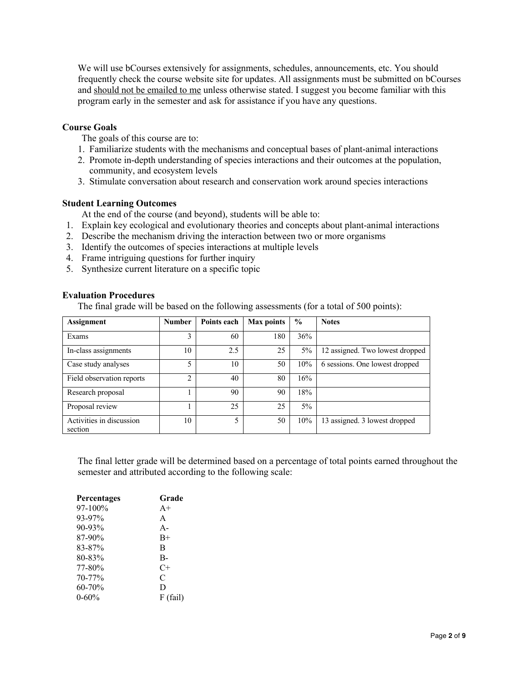We will use bCourses extensively for assignments, schedules, announcements, etc. You should frequently check the course website site for updates. All assignments must be submitted on bCourses and should not be emailed to me unless otherwise stated. I suggest you become familiar with this program early in the semester and ask for assistance if you have any questions.

# **Course Goals**

- The goals of this course are to:
- 1. Familiarize students with the mechanisms and conceptual bases of plant-animal interactions
- 2. Promote in-depth understanding of species interactions and their outcomes at the population, community, and ecosystem levels
- 3. Stimulate conversation about research and conservation work around species interactions

## **Student Learning Outcomes**

At the end of the course (and beyond), students will be able to:

- 1. Explain key ecological and evolutionary theories and concepts about plant-animal interactions
- 2. Describe the mechanism driving the interaction between two or more organisms
- 3. Identify the outcomes of species interactions at multiple levels
- 4. Frame intriguing questions for further inquiry
- 5. Synthesize current literature on a specific topic

## **Evaluation Procedures**

The final grade will be based on the following assessments (for a total of 500 points):

| <b>Assignment</b>                   | <b>Number</b> | Points each | Max points | $\frac{0}{0}$ | <b>Notes</b>                    |  |
|-------------------------------------|---------------|-------------|------------|---------------|---------------------------------|--|
| Exams                               | 3             | 60          | 180        | 36%           |                                 |  |
| In-class assignments                | 10            | 2.5         | 25         | 5%            | 12 assigned. Two lowest dropped |  |
| Case study analyses                 | 5             | 10          | 50         | 10%           | 6 sessions. One lowest dropped  |  |
| Field observation reports           | C             | 40          | 80         | 16%           |                                 |  |
| Research proposal                   |               | 90          | 90         | 18%           |                                 |  |
| Proposal review                     |               | 25          | 25         | $5\%$         |                                 |  |
| Activities in discussion<br>section | 10            | 5           | 50         | 10%           | 13 assigned. 3 lowest dropped   |  |

The final letter grade will be determined based on a percentage of total points earned throughout the semester and attributed according to the following scale:

| <b>Percentages</b> | Grade      |
|--------------------|------------|
| 97-100%            | $A+$       |
| 93-97%             | A          |
| 90-93%             | $A -$      |
| 87-90%             | $B+$       |
| 83-87%             | B          |
| 80-83%             | B-         |
| 77-80%             | $C+$       |
| 70-77%             | C          |
| 60-70%             | D          |
| $0 - 60%$          | $F$ (fail) |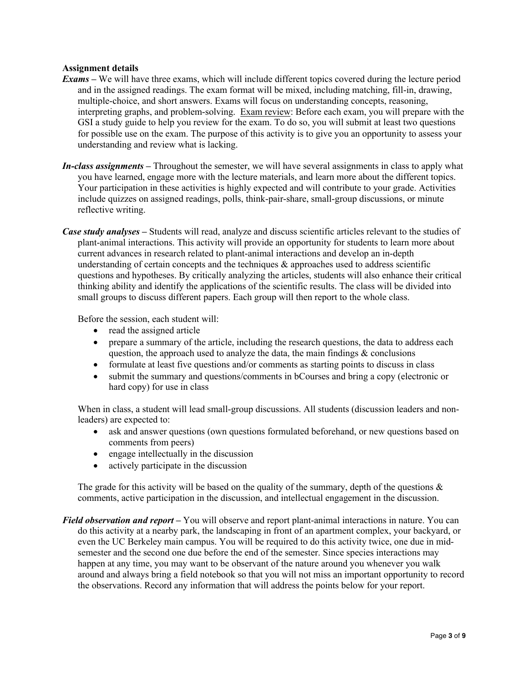# **Assignment details**

- *Exams –* We will have three exams, which will include different topics covered during the lecture period and in the assigned readings. The exam format will be mixed, including matching, fill-in, drawing, multiple-choice, and short answers. Exams will focus on understanding concepts, reasoning, interpreting graphs, and problem-solving. Exam review: Before each exam, you will prepare with the GSI a study guide to help you review for the exam. To do so, you will submit at least two questions for possible use on the exam. The purpose of this activity is to give you an opportunity to assess your understanding and review what is lacking.
- *In-class assignments –* Throughout the semester, we will have several assignments in class to apply what you have learned, engage more with the lecture materials, and learn more about the different topics. Your participation in these activities is highly expected and will contribute to your grade. Activities include quizzes on assigned readings, polls, think-pair-share, small-group discussions, or minute reflective writing.
- *Case study analyses –* Students will read, analyze and discuss scientific articles relevant to the studies of plant-animal interactions. This activity will provide an opportunity for students to learn more about current advances in research related to plant-animal interactions and develop an in-depth understanding of certain concepts and the techniques & approaches used to address scientific questions and hypotheses. By critically analyzing the articles, students will also enhance their critical thinking ability and identify the applications of the scientific results. The class will be divided into small groups to discuss different papers. Each group will then report to the whole class.

Before the session, each student will:

- read the assigned article
- prepare a summary of the article, including the research questions, the data to address each question, the approach used to analyze the data, the main findings  $\&$  conclusions
- formulate at least five questions and/or comments as starting points to discuss in class
- submit the summary and questions/comments in bCourses and bring a copy (electronic or hard copy) for use in class

When in class, a student will lead small-group discussions. All students (discussion leaders and nonleaders) are expected to:

- ask and answer questions (own questions formulated beforehand, or new questions based on comments from peers)
- engage intellectually in the discussion
- actively participate in the discussion

The grade for this activity will be based on the quality of the summary, depth of the questions  $\&$ comments, active participation in the discussion, and intellectual engagement in the discussion.

*Field observation and report –* You will observe and report plant-animal interactions in nature. You can do this activity at a nearby park, the landscaping in front of an apartment complex, your backyard, or even the UC Berkeley main campus. You will be required to do this activity twice, one due in midsemester and the second one due before the end of the semester. Since species interactions may happen at any time, you may want to be observant of the nature around you whenever you walk around and always bring a field notebook so that you will not miss an important opportunity to record the observations. Record any information that will address the points below for your report.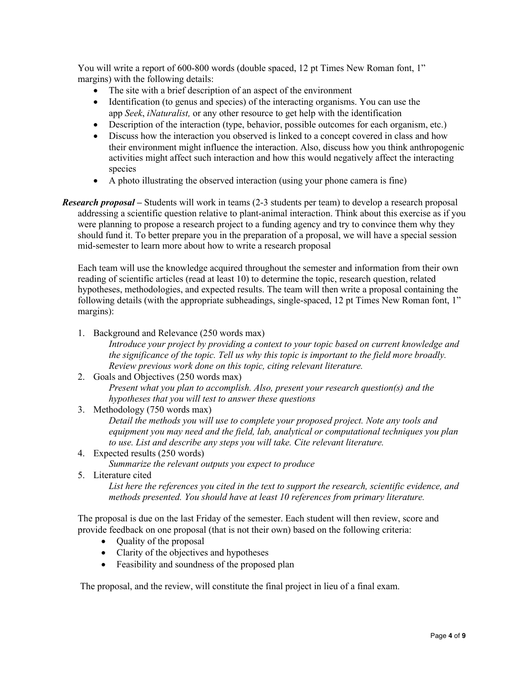You will write a report of 600-800 words (double spaced, 12 pt Times New Roman font, 1" margins) with the following details:

- The site with a brief description of an aspect of the environment
- Identification (to genus and species) of the interacting organisms. You can use the app *Seek*, *iNaturalist,* or any other resource to get help with the identification
- Description of the interaction (type, behavior, possible outcomes for each organism, etc.)
- Discuss how the interaction you observed is linked to a concept covered in class and how their environment might influence the interaction. Also, discuss how you think anthropogenic activities might affect such interaction and how this would negatively affect the interacting species
- A photo illustrating the observed interaction (using your phone camera is fine)
- *Research proposal* Students will work in teams (2-3 students per team) to develop a research proposal addressing a scientific question relative to plant-animal interaction. Think about this exercise as if you were planning to propose a research project to a funding agency and try to convince them why they should fund it. To better prepare you in the preparation of a proposal, we will have a special session mid-semester to learn more about how to write a research proposal

Each team will use the knowledge acquired throughout the semester and information from their own reading of scientific articles (read at least 10) to determine the topic, research question, related hypotheses, methodologies, and expected results. The team will then write a proposal containing the following details (with the appropriate subheadings, single-spaced, 12 pt Times New Roman font, 1" margins):

1. Background and Relevance (250 words max)

*Introduce your project by providing a context to your topic based on current knowledge and the significance of the topic. Tell us why this topic is important to the field more broadly. Review previous work done on this topic, citing relevant literature.*

- 2. Goals and Objectives (250 words max) *Present what you plan to accomplish. Also, present your research question(s) and the hypotheses that you will test to answer these questions*
- 3. Methodology (750 words max) *Detail the methods you will use to complete your proposed project. Note any tools and equipment you may need and the field, lab, analytical or computational techniques you plan to use. List and describe any steps you will take. Cite relevant literature.*
- 4. Expected results (250 words)

*Summarize the relevant outputs you expect to produce*

5. Literature cited

*List here the references you cited in the text to support the research, scientific evidence, and methods presented. You should have at least 10 references from primary literature.*

The proposal is due on the last Friday of the semester. Each student will then review, score and provide feedback on one proposal (that is not their own) based on the following criteria:

- Quality of the proposal
- Clarity of the objectives and hypotheses
- Feasibility and soundness of the proposed plan

The proposal, and the review, will constitute the final project in lieu of a final exam.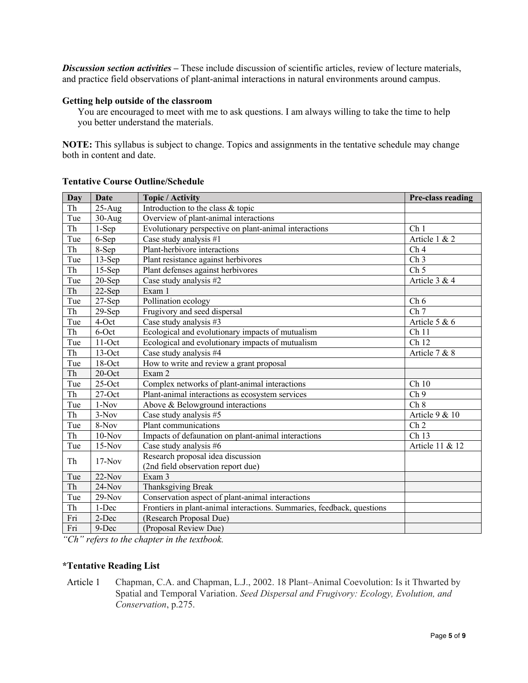*Discussion section activities* **–** These include discussion of scientific articles, review of lecture materials, and practice field observations of plant-animal interactions in natural environments around campus.

### **Getting help outside of the classroom**

You are encouraged to meet with me to ask questions. I am always willing to take the time to help you better understand the materials.

**NOTE:** This syllabus is subject to change. Topics and assignments in the tentative schedule may change both in content and date.

| Day | Date      | <b>Topic / Activity</b>                                                 | Pre-class reading |
|-----|-----------|-------------------------------------------------------------------------|-------------------|
| Th  | $25-Aug$  | Introduction to the class & topic                                       |                   |
| Tue | $30-Aug$  | Overview of plant-animal interactions                                   |                   |
| Th  | $1-Sep$   | Evolutionary perspective on plant-animal interactions                   | Ch <sub>1</sub>   |
| Tue | 6-Sep     | Case study analysis #1                                                  | Article 1 & 2     |
| Th  | 8-Sep     | Plant-herbivore interactions                                            | Ch <sub>4</sub>   |
| Tue | $13-Sep$  | Plant resistance against herbivores                                     | $\overline{Ch3}$  |
| Th  | $15-Sep$  | Plant defenses against herbivores                                       | Ch <sub>5</sub>   |
| Tue | $20-Sep$  | Case study analysis #2                                                  | Article 3 & 4     |
| Th  | $22-Sep$  | Exam 1                                                                  |                   |
| Tue | $27-Sep$  | Pollination ecology                                                     | Ch <sub>6</sub>   |
| Th  | $29-Sep$  | Frugivory and seed dispersal                                            | Ch <sub>7</sub>   |
| Tue | 4-Oct     | Case study analysis #3                                                  | Article 5 & $6$   |
| Th  | 6-Oct     | Ecological and evolutionary impacts of mutualism                        | Ch <sub>11</sub>  |
| Tue | $11$ -Oct | Ecological and evolutionary impacts of mutualism                        | Ch <sub>12</sub>  |
| Th  | $13$ -Oct | Case study analysis #4                                                  | Article 7 & 8     |
| Tue | $18$ -Oct | How to write and review a grant proposal                                |                   |
| Th  | $20$ -Oct | Exam 2                                                                  |                   |
| Tue | $25$ -Oct | Complex networks of plant-animal interactions                           | Ch 10             |
| Th  | $27$ -Oct | Plant-animal interactions as ecosystem services                         | Ch <sub>9</sub>   |
| Tue | $1-Nov$   | Above & Belowground interactions                                        | Ch 8              |
| Th  | $3-Nov$   | Case study analysis #5                                                  | Article 9 $& 10$  |
| Tue | 8-Nov     | Plant communications                                                    | Ch <sub>2</sub>   |
| Th  | $10-Nov$  | Impacts of defaunation on plant-animal interactions                     | Ch 13             |
| Tue | $15-Nov$  | Case study analysis #6                                                  | Article 11 & 12   |
| Th  | $17-Nov$  | Research proposal idea discussion<br>(2nd field observation report due) |                   |
| Tue | 22-Nov    | Exam 3                                                                  |                   |
| Th  | $24-Nov$  | Thanksgiving Break                                                      |                   |
| Tue | $29-Nov$  | Conservation aspect of plant-animal interactions                        |                   |
| Th  | 1-Dec     | Frontiers in plant-animal interactions. Summaries, feedback, questions  |                   |
| Fri | 2-Dec     | (Research Proposal Due)                                                 |                   |
| Fri | 9-Dec     | (Proposal Review Due)                                                   |                   |

# **Tentative Course Outline/Schedule**

*"Ch" refers to the chapter in the textbook.* 

### **\*Tentative Reading List**

Article 1 Chapman, C.A. and Chapman, L.J., 2002. 18 Plant–Animal Coevolution: Is it Thwarted by Spatial and Temporal Variation. *Seed Dispersal and Frugivory: Ecology, Evolution, and Conservation*, p.275.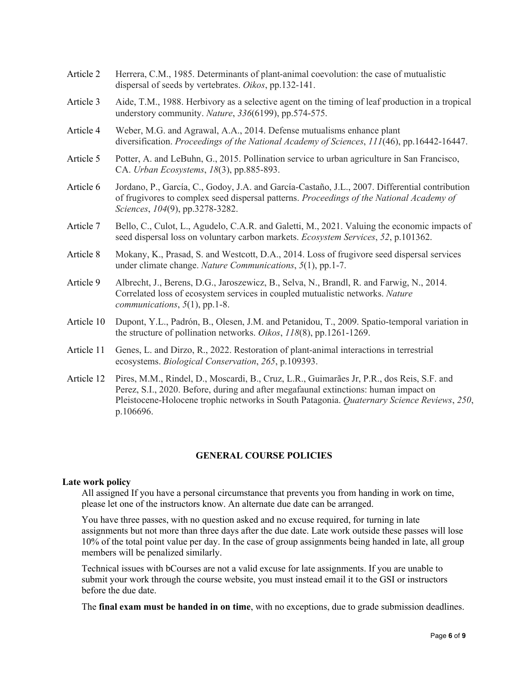- Article 2 Herrera, C.M., 1985. Determinants of plant-animal coevolution: the case of mutualistic dispersal of seeds by vertebrates. *Oikos*, pp.132-141.
- Article 3 Aide, T.M., 1988. Herbivory as a selective agent on the timing of leaf production in a tropical understory community. *Nature*, *336*(6199), pp.574-575.
- Article 4 Weber, M.G. and Agrawal, A.A., 2014. Defense mutualisms enhance plant diversification. *Proceedings of the National Academy of Sciences*, *111*(46), pp.16442-16447.
- Article 5 Potter, A. and LeBuhn, G., 2015. Pollination service to urban agriculture in San Francisco, CA. *Urban Ecosystems*, *18*(3), pp.885-893.
- Article 6 Jordano, P., García, C., Godoy, J.A. and García-Castaño, J.L., 2007. Differential contribution of frugivores to complex seed dispersal patterns. *Proceedings of the National Academy of Sciences*, *104*(9), pp.3278-3282.
- Article 7 Bello, C., Culot, L., Agudelo, C.A.R. and Galetti, M., 2021. Valuing the economic impacts of seed dispersal loss on voluntary carbon markets. *Ecosystem Services*, *52*, p.101362.
- Article 8 Mokany, K., Prasad, S. and Westcott, D.A., 2014. Loss of frugivore seed dispersal services under climate change. *Nature Communications*, *5*(1), pp.1-7.
- Article 9 Albrecht, J., Berens, D.G., Jaroszewicz, B., Selva, N., Brandl, R. and Farwig, N., 2014. Correlated loss of ecosystem services in coupled mutualistic networks. *Nature communications*, *5*(1), pp.1-8.
- Article 10 Dupont, Y.L., Padrón, B., Olesen, J.M. and Petanidou, T., 2009. Spatio‐temporal variation in the structure of pollination networks. *Oikos*, *118*(8), pp.1261-1269.
- Article 11 Genes, L. and Dirzo, R., 2022. Restoration of plant-animal interactions in terrestrial ecosystems. *Biological Conservation*, *265*, p.109393.
- Article 12 Pires, M.M., Rindel, D., Moscardi, B., Cruz, L.R., Guimarães Jr, P.R., dos Reis, S.F. and Perez, S.I., 2020. Before, during and after megafaunal extinctions: human impact on Pleistocene-Holocene trophic networks in South Patagonia. *Quaternary Science Reviews*, *250*, p.106696.

# **GENERAL COURSE POLICIES**

### **Late work policy**

All assigned If you have a personal circumstance that prevents you from handing in work on time, please let one of the instructors know. An alternate due date can be arranged.

You have three passes, with no question asked and no excuse required, for turning in late assignments but not more than three days after the due date. Late work outside these passes will lose 10% of the total point value per day. In the case of group assignments being handed in late, all group members will be penalized similarly.

Technical issues with bCourses are not a valid excuse for late assignments. If you are unable to submit your work through the course website, you must instead email it to the GSI or instructors before the due date.

The **final exam must be handed in on time**, with no exceptions, due to grade submission deadlines.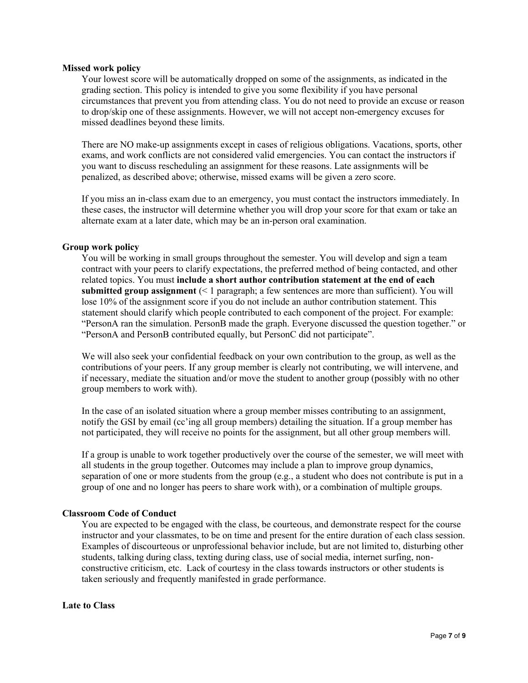### **Missed work policy**

Your lowest score will be automatically dropped on some of the assignments, as indicated in the grading section. This policy is intended to give you some flexibility if you have personal circumstances that prevent you from attending class. You do not need to provide an excuse or reason to drop/skip one of these assignments. However, we will not accept non-emergency excuses for missed deadlines beyond these limits.

There are NO make-up assignments except in cases of religious obligations. Vacations, sports, other exams, and work conflicts are not considered valid emergencies. You can contact the instructors if you want to discuss rescheduling an assignment for these reasons. Late assignments will be penalized, as described above; otherwise, missed exams will be given a zero score.

If you miss an in-class exam due to an emergency, you must contact the instructors immediately. In these cases, the instructor will determine whether you will drop your score for that exam or take an alternate exam at a later date, which may be an in-person oral examination.

## **Group work policy**

You will be working in small groups throughout the semester. You will develop and sign a team contract with your peers to clarify expectations, the preferred method of being contacted, and other related topics. You must **include a short author contribution statement at the end of each submitted group assignment** (< 1 paragraph; a few sentences are more than sufficient). You will lose 10% of the assignment score if you do not include an author contribution statement. This statement should clarify which people contributed to each component of the project. For example: "PersonA ran the simulation. PersonB made the graph. Everyone discussed the question together." or "PersonA and PersonB contributed equally, but PersonC did not participate".

We will also seek your confidential feedback on your own contribution to the group, as well as the contributions of your peers. If any group member is clearly not contributing, we will intervene, and if necessary, mediate the situation and/or move the student to another group (possibly with no other group members to work with).

In the case of an isolated situation where a group member misses contributing to an assignment, notify the GSI by email (cc'ing all group members) detailing the situation. If a group member has not participated, they will receive no points for the assignment, but all other group members will.

If a group is unable to work together productively over the course of the semester, we will meet with all students in the group together. Outcomes may include a plan to improve group dynamics, separation of one or more students from the group (e.g., a student who does not contribute is put in a group of one and no longer has peers to share work with), or a combination of multiple groups.

### **Classroom Code of Conduct**

You are expected to be engaged with the class, be courteous, and demonstrate respect for the course instructor and your classmates, to be on time and present for the entire duration of each class session. Examples of discourteous or unprofessional behavior include, but are not limited to, disturbing other students, talking during class, texting during class, use of social media, internet surfing, nonconstructive criticism, etc. Lack of courtesy in the class towards instructors or other students is taken seriously and frequently manifested in grade performance.

**Late to Class**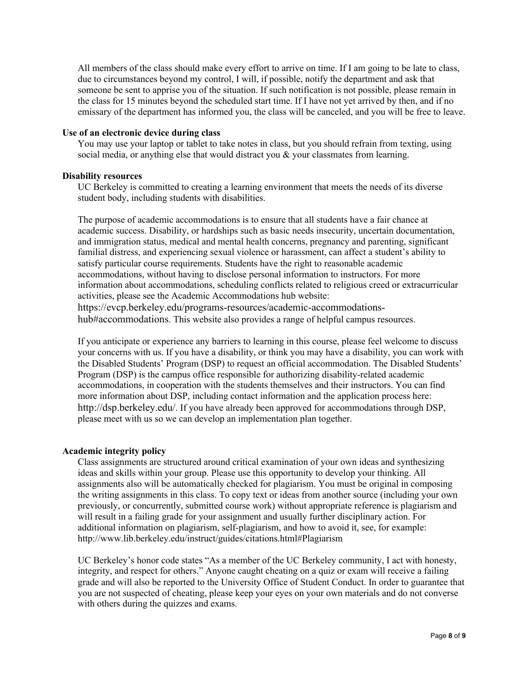All members of the class should make every effort to arrive on time. If I am going to be late to class, due to circumstances beyond my control, I will, if possible, notify the department and ask that someone be sent to apprise you of the situation. If such notification is not possible, please remain in the class for 15 minutes beyond the scheduled start time. If I have not yet arrived by then, and if no emissary of the department has informed you, the class will be canceled, and you will be free to leave.

### **Use of an electronic device during class**

You may use your laptop or tablet to take notes in class, but you should refrain from texting, using social media, or anything else that would distract you  $\&$  your classmates from learning.

## **Disability resources**

UC Berkeley is committed to creating a learning environment that meets the needs of its diverse student body, including students with disabilities.

The purpose of academic accommodations is to ensure that all students have a fair chance at academic success. Disability, or hardships such as basic needs insecurity, uncertain documentation, and immigration status, medical and mental health concerns, pregnancy and parenting, significant familial distress, and experiencing sexual violence or harassment, can affect a student's ability to satisfy particular course requirements. Students have the right to reasonable academic accommodations, without having to disclose personal information to instructors. For more information about accommodations, scheduling conflicts related to religious creed or extracurricular activities, please see the Academic Accommodations hub website: https://evcp.berkeley.edu/programs-resources/academic-accommodationshub#accommodations. This website also provides a range of helpful campus resources.

If you anticipate or experience any barriers to learning in this course, please feel welcome to discuss your concerns with us. If you have a disability, or think you may have a disability, you can work with the Disabled Students' Program (DSP) to request an official accommodation. The Disabled Students' Program (DSP) is the campus office responsible for authorizing disability-related academic accommodations, in cooperation with the students themselves and their instructors. You can find more information about DSP, including contact information and the application process here: http://dsp.berkeley.edu/. If you have already been approved for accommodations through DSP, please meet with us so we can develop an implementation plan together.

### **Academic integrity policy**

Class assignments are structured around critical examination of your own ideas and synthesizing ideas and skills within your group. Please use this opportunity to develop your thinking. All assignments also will be automatically checked for plagiarism. You must be original in composing the writing assignments in this class. To copy text or ideas from another source (including your own previously, or concurrently, submitted course work) without appropriate reference is plagiarism and will result in a failing grade for your assignment and usually further disciplinary action. For additional information on plagiarism, self-plagiarism, and how to avoid it, see, for example: http://www.lib.berkeley.edu/instruct/guides/citations.html#Plagiarism

UC Berkeley's honor code states "As a member of the UC Berkeley community, I act with honesty, integrity, and respect for others." Anyone caught cheating on a quiz or exam will receive a failing grade and will also be reported to the University Office of Student Conduct. In order to guarantee that you are not suspected of cheating, please keep your eyes on your own materials and do not converse with others during the quizzes and exams.